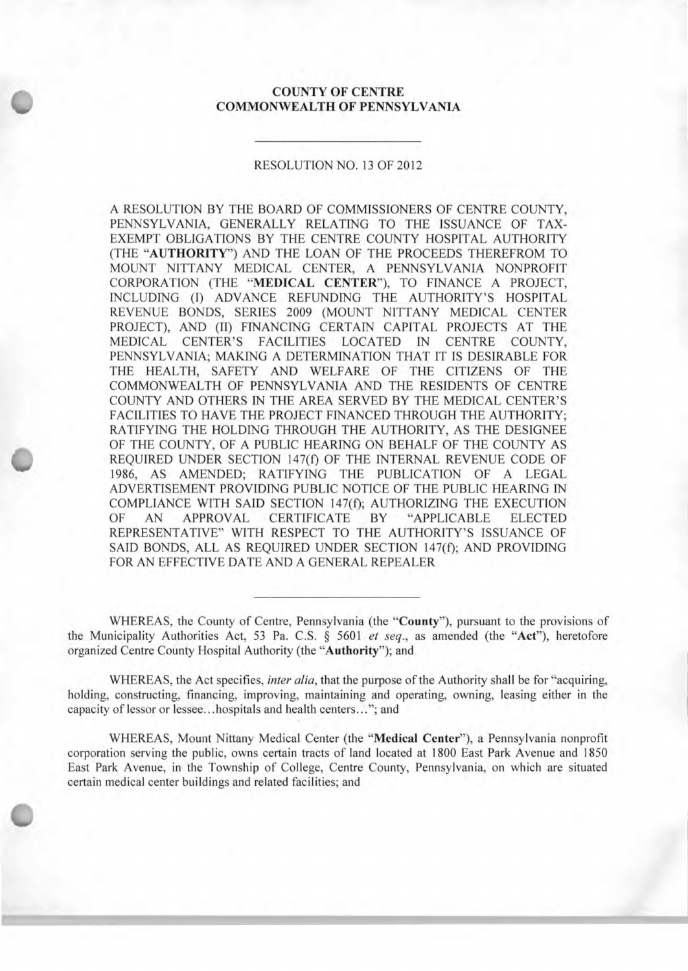## **COUNTY OF CENTRE COMMONWEALTH OF PENNSYLVANIA**

**S**

## RESOLUTION NO. 13 OF 2012

A RESOLUTION BY THE BOARD OF COMMISSIONERS OF CENTRE COUNTY, PENNSYLVANIA, GENERALLY RELATING TO THE ISSUANCE OF TAX-EXEMPT OBLIGATIONS BY THE CENTRE COUNTY HOSPITAL AUTHORITY (THE **"AUTHORITY")** AND THE LOAN OF THE PROCEEDS THEREFROM TO MOUNT NITTANY MEDICAL CENTER, A PENNSYLVANIA NONPROFIT CORPORATION (THE **"MEDICAL CENTER"),** TO FINANCE A PROJECT, INCLUDING (I) ADVANCE REFUNDING THE AUTHORITY'S HOSPITAL REVENUE BONDS, SERIES 2009 (MOUNT NITTANY MEDICAL CENTER PROJECT), AND (II) FINANCING CERTAIN CAPITAL PROJECTS AT THE MEDICAL CENTER'S FACILITIES LOCATED IN CENTRE COUNTY, PENNSYLVANIA; MAKING A DETERMINATION THAT IT IS DESIRABLE FOR THE HEALTH, SAFETY AND WELFARE OF THE CITIZENS OF THE COMMONWEALTH OF PENNSYLVANIA AND THE RESIDENTS OF CENTRE COUNTY AND OTHERS IN THE AREA SERVED BY THE MEDICAL CENTER'S FACILITIES TO HAVE THE PROJECT FINANCED THROUGH THE AUTHORITY; RATIFYING THE HOLDING THROUGH THE AUTHORITY, AS THE DESIGNEE OF THE COUNTY, OF A PUBLIC HEARING ON BEHALF OF THE COUNTY AS REQUIRED UNDER SECTION 147(f) OF THE INTERNAL REVENUE CODE OF 1986, AS AMENDED; RATIFYING THE PUBLICATION OF A LEGAL ADVERTISEMENT PROVIDING PUBLIC NOTICE OF THE PUBLIC HEARING IN COMPLIANCE WITH SAID SECTION 147(f); AUTHORIZING THE EXECUTION OF AN APPROVAL CERTIFICATE BY "APPLICABLE ELECTED REPRESENTATIVE" WITH RESPECT TO THE AUTHORITY'S ISSUANCE OF SAID BONDS, ALL AS REQUIRED UNDER SECTION 147(f); AND PROVIDING FOR AN EFFECTIVE DATE AND A GENERAL REPEALER

WHEREAS, the County of Centre, Pennsylvania (the **"County"),** pursuant to the provisions of the Municipality Authorities Act, 53 Pa. C.S. § 5601 *et seq.,* as amended (the "Act"), heretofore organized Centre County Hospital Authority (the **"Authority");** and

WHEREAS, the Act specifies, *inter a/ia,* that the purpose of the Authority shall be for "acquiring, holding, constructing, financing, improving, maintaining and operating, owning, leasing either in the capacity of lessor or lessee.. .hospitals and health centers..."; and

WHEREAS, Mount Nittany Medical Center (the **"Medical Center"),** a Pennsylvania nonprofit corporation serving the public, owns certain tracts of land located at 1800 East Park Avenue and 1850 East Park Avenue, in the Township of College, Centre County, Pennsylvania, on which are situated certain medical center buildings and related facilities; and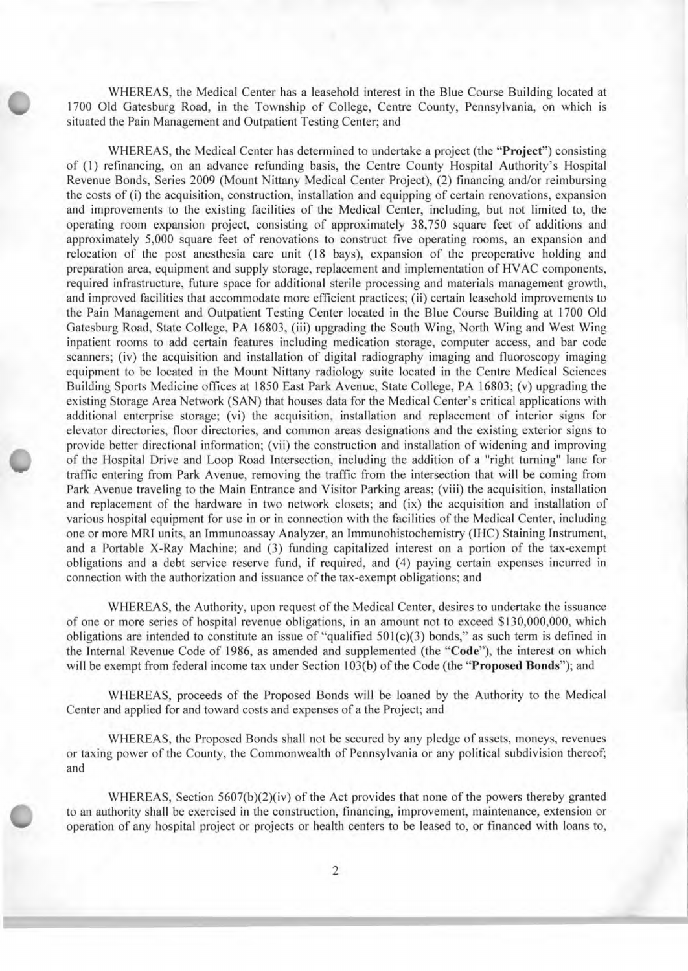WHEREAS, the Medical Center has a leasehold interest in the Blue Course Building located at<br>1700 Old Gatesburg Road, in the Township of College, Centre County, Pennsylvania, on which is<br>situated the Pain Management and Out 1700 Old Gatesburg Road, in the Township of College, Centre County, Pennsylvania, on which is situated the Pain Management and Outpatient Testing Center; and

WHEREAS, the Medical Center has determined to undertake a project (the **"Project")** consisting of (1) refinancing, on an advance refunding basis, the Centre County Hospital Authority's Hospital Revenue Bonds, Series 2009 (Mount Nittany Medical Center Project), (2) financing and/or reimbursing the costs of (i) the acquisition, construction, installation and equipping of certain renovations, expansion and improvements to the existing facilities of the Medical Center, including, but not limited to, the operating room expansion project, consisting of approximately 38,750 square feet of additions and approximately 5,000 square feet of renovations to construct five operating rooms, an expansion and relocation of the post anesthesia care unit (18 bays), expansion of the preoperative holding and preparation area, equipment and supply storage, replacement and implementation of HVAC components, required infrastructure, future space for additional sterile processing and materials management growth, and improved facilities that accommodate more efficient practices; (ii) certain leasehold improvements to the Pain Management and Outpatient Testing Center located in the Blue Course Building at 1700 Old Gatesburg Road, State College, PA 16803, (iii) upgrading the South Wing, North Wing and West Wing inpatient rooms to add certain features including medication storage, computer access, and bar code scanners; (iv) the acquisition and installation of digital radiography imaging and fluoroscopy imaging equipment to be located in the Mount Nittany radiology suite located in the Centre Medical Sciences Building Sports Medicine offices at 1850 East Park Avenue, State College, PA 16803; (v) upgrading the existing Storage Area Network (SAN) that houses data for the Medical Center's critical applications with additional enterprise storage; (vi) the acquisition, installation and replacement of interior signs for elevator directories, floor directories, and common areas designations and the existing exterior signs to provide better directional information; (vii) the construction and installation of widening and improving of the Hospital Drive and Loop Road Intersection, including the addition of a "right turning" lane for traffic entering from Park Avenue, removing the traffic from the intersection that will be coming from Park Avenue traveling to the Main Entrance and Visitor Parking areas; (viii) the acquisition, installation and replacement of the hardware in two network closets; and (ix) the acquisition and installation of various hospital equipment for use in or in connection with the facilities of the Medical Center, including one or more MRI units, an Immunoassay Analyzer, an Immunohistochemistry (IHC) Staining Instrument, and a Portable X-Ray Machine; and (3) funding capitalized interest on a portion of the tax-exempt obligations and a debt service reserve fund, if required, and (4) paying certain expenses incurred in connection with the authorization and issuance of the tax-exempt obligations; and

WHEREAS, the Authority, upon request of the Medical Center, desires to undertake the issuance of one or more series of hospital revenue obligations, in an amount not to exceed \$130,000,000, which obligations are intended to constitute an issue of "qualified 501(c)(3) bonds," as such term is defined in the Internal Revenue Code of 1986, as amended and supplemented (the "Code"), the interest on which will be exempt from federal income tax under Section 103(b) of the Code (the **"Proposed Bonds");** and

WHEREAS, proceeds of the Proposed Bonds will be loaned by the Authority to the Medical Center and applied for and toward costs and expenses of a the Project; and

WHEREAS, the Proposed Bonds shall not be secured by any pledge of assets, moneys, revenues or taxing power of the County, the Commonwealth of Pennsylvania or any political subdivision thereof; and

WHEREAS, Section  $5607(b)(2)(iv)$  of the Act provides that none of the powers thereby granted to an authority shall be exercised in the construction, financing, improvement, maintenance, extension or operation of any hospital project or projects or health centers to be leased to, or financed with loans to,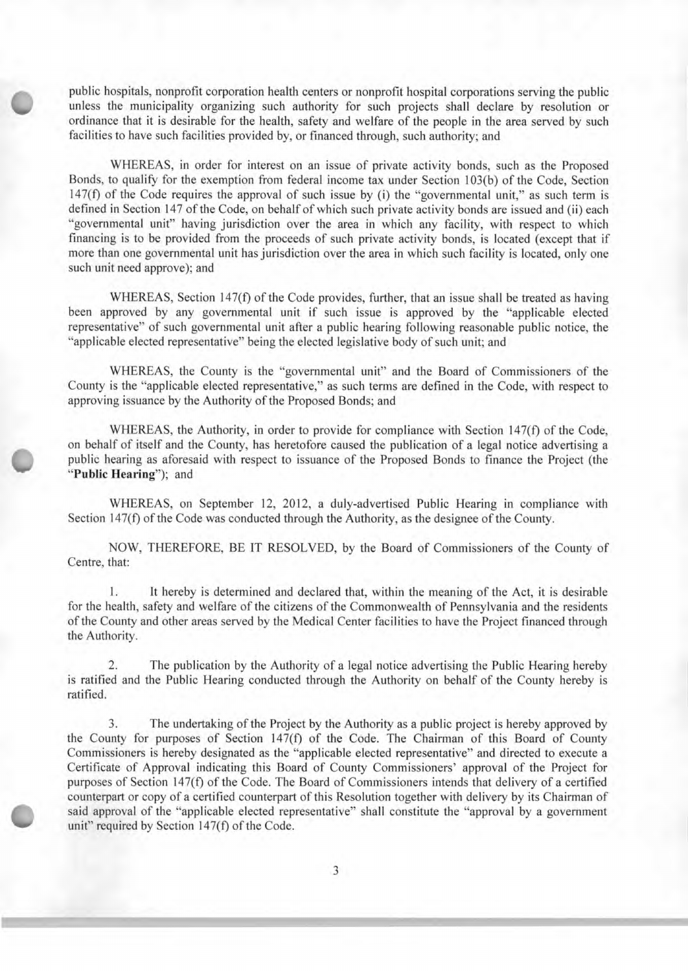public hospitals, nonprofit corporation health centers or nonprofit hospital corporations serving the public unless the municipality organizing such authority for such projects shall declare by resolution or ordinance that ordinance that it is desirable for the health, safety and welfare of the people in the area served by such facilities to have such facilities provided by, or financed through, such authority; and

WHEREAS, in order for interest on an issue of private activity bonds, such as the Proposed Bonds, to qualify for the exemption from federal income tax under Section 103(b) of the Code, Section 147(f) of the Code requires the approval of such issue by (i) the "governmental unit," as such term is defined in Section 147 of the Code, on behalf of which such private activity bonds are issued and (ii) each "governmental unit" having jurisdiction over the area in which any facility, with respect to which financing is to be provided from the proceeds of such private activity bonds, is located (except that if more than one governmental unit has jurisdiction over the area in which such facility is located, only one such unit need approve); and

WHEREAS, Section 147(f) of the Code provides, further, that an issue shall be treated as having been approved by any governmental unit if such issue is approved by the "applicable elected representative" of such governmental unit after a public hearing following reasonable public notice, the "applicable elected representative" being the elected legislative body of such unit; and

WHEREAS, the County is the "governmental unit" and the Board of Commissioners of the County is the "applicable elected representative," as such terms are defined in the Code, with respect to approving issuance by the Authority of the Proposed Bonds; and

WHEREAS, the Authority, in order to provide for compliance with Section 147(f) of the Code, on behalf of itself and the County, has heretofore caused the publication of a legal notice advertising a public hearing as aforesaid with respect to issuance of the Proposed Bonds to finance the Project (the **"Public Hearing");** and

WHEREAS, on September 12, 2012, a duly-advertised Public Hearing in compliance with Section 147(f) of the Code was conducted through the Authority, as the designee of the County.

NOW, THEREFORE, BE IT RESOLVED, by the Board of Commissioners of the County of Centre, that:

1. It hereby is determined and declared that, within the meaning of the Act, it is desirable for the health, safety and welfare of the citizens of the Commonwealth of Pennsylvania and the residents of the County and other areas served by the Medical Center facilities to have the Project financed through the Authority.

2. The publication by the Authority of a legal notice advertising the Public Hearing hereby is ratified and the Public Hearing conducted through the Authority on behalf of the County hereby is ratified.

3. The undertaking of the Project by the Authority as a public project is hereby approved by the County for purposes of Section 147(f) of the Code. The Chairman of this Board of County Commissioners is hereby designated as the "applicable elected representative" and directed to execute a Certificate of Approval indicating this Board of County Commissioners' approval of the Project for purposes of Section 147(f) of the Code. The Board of Commissioners intends that delivery of a certified counterpart or copy of a certified counterpart of this Resolution together with delivery by its Chairman of said approval of the "applicable elected representative" shall constitute the "approval by a government unit" required by Section 147(f) of the Code.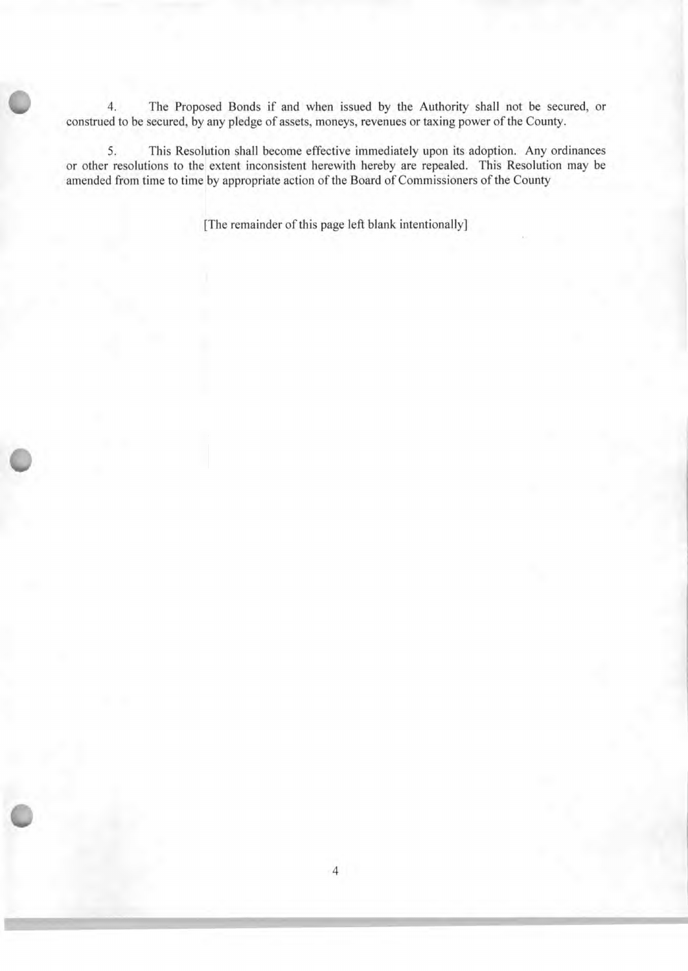4. The Proposed Bonds if and when issued by the Authority shall not be secured, or construed to be secured, by any pledge of assets, moneys, revenues or taxing power of the County.

5. This Resolution shall become effective immediately upon its adoption. Any ordinances or other resolutions to the extent inconsistent herewith hereby are repealed. This Resolution may be amended from time to time by appropriate action of the Board of Commissioners of the County

[The remainder of this page left blank intentionally]

 $\bullet$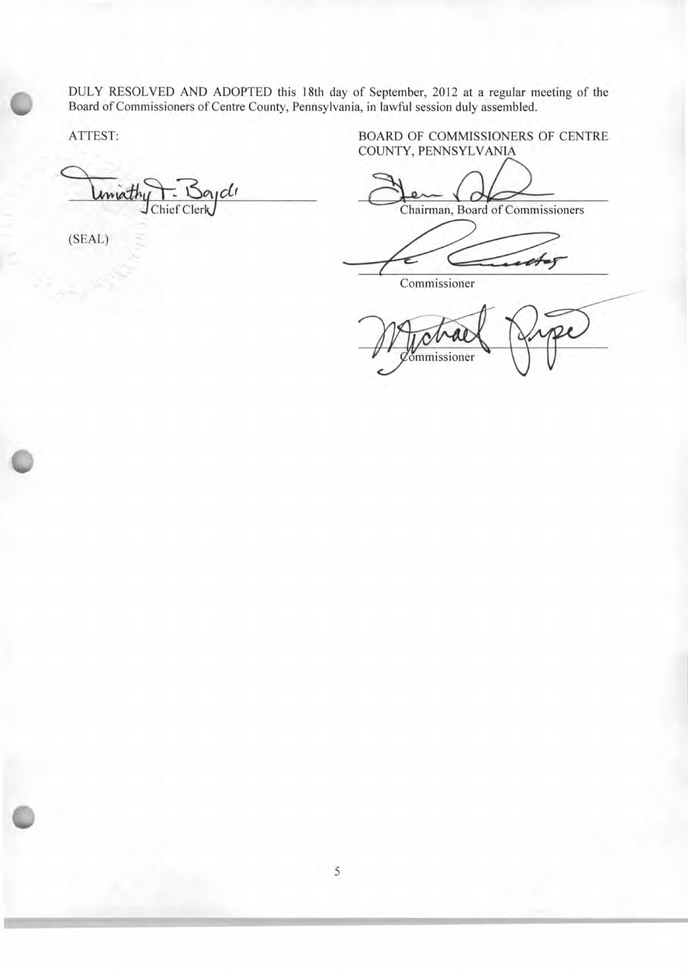DULY RESOLVED AND ADOPTED this 18th day of September, 2012 at a regular meeting of the Board of Commissioners of Centre County, Pennsylvania, in lawful session duly assembled.

ıclı

(SEAL)

 $\cup$ 

ATTEST: BOARD OF COMMISSIONERS OF CENTRE COUNTY, PENNSYLVANIA

Chairman, Board of Commissioners

Commissioner

commissioner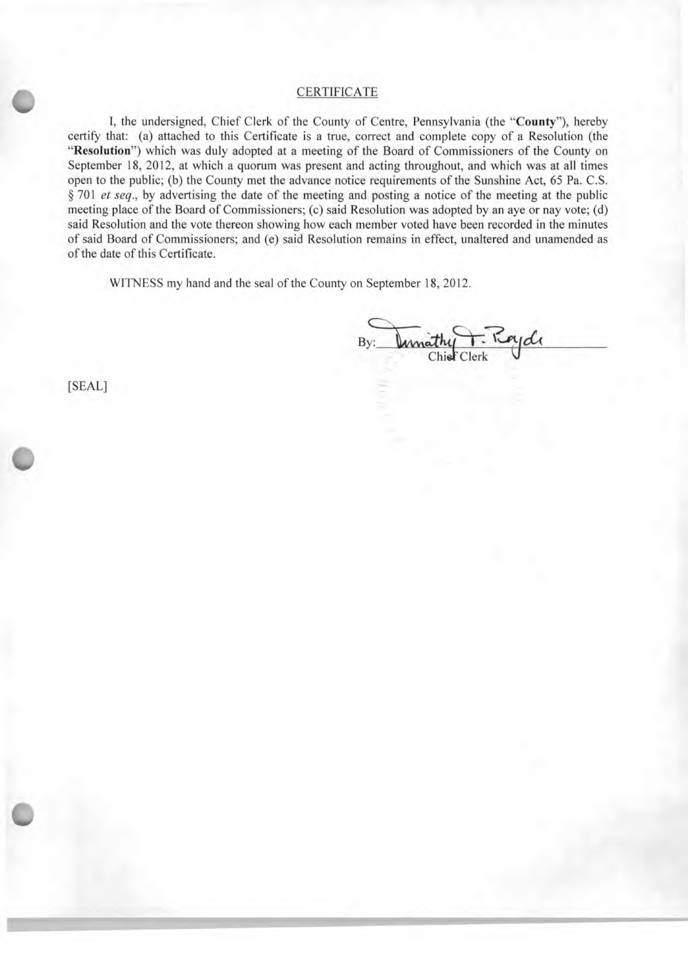**0 CERTIFICATE**<br>
I, the undersigned, Chief Clerk of the County of Centre, Pennsylvania (the "County"), hereby certify that: (a) attached to this Certificate is a true, correct and complete copy of a Resolution (the **"Resolution")** which was duly adopted at a meeting of the Board of Commissioners of the County on September 18, 2012, at which a quorum was present and acting throughout, and which was at all times open to the public; (b) the County met the advance notice requirements of the Sunshine Act, *65* Pa. C.S. *§ 701 et seq.,* by advertising the date of the meeting and posting a notice of the meeting at the public meeting place of the Board of Commissioners; (c) said Resolution was adopted by an aye or nay vote; (d) said Resolution and the vote thereon showing how each member voted have been recorded in the minutes of said Board of Commissioners; and (e) said Resolution remains in effect, unaltered and unamended as of the date of this Certificate.

WITNESS my hand and the seal of the County on September 18, 2012.

By: **Unity Chief Clerk** Chie

[SEAL]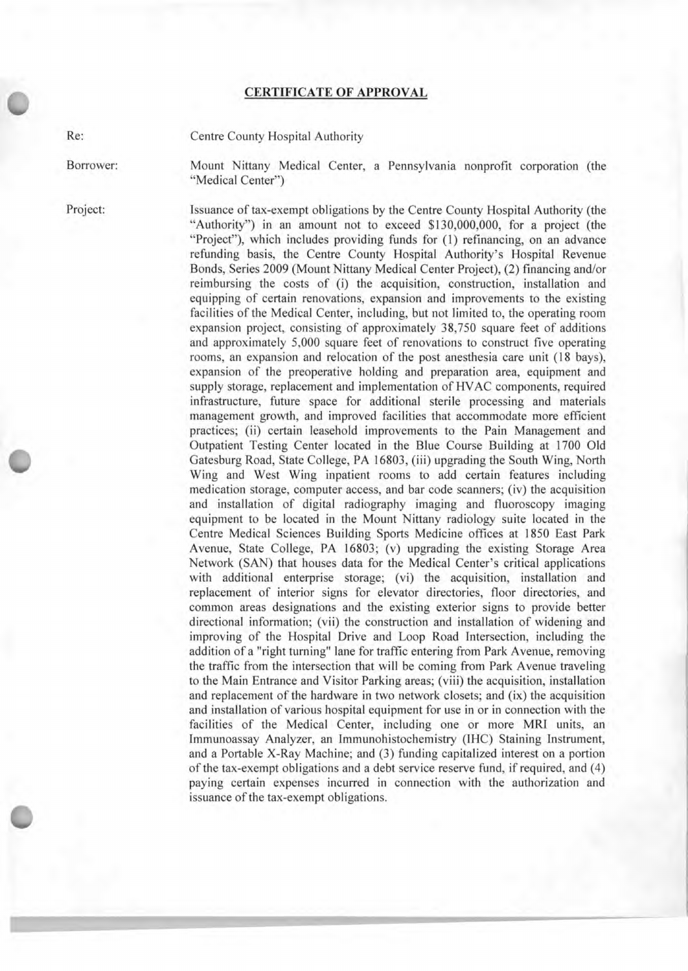## **CERTIFICATE OF APPROVAL**

Re: Centre County Hospital Authority

Borrower: Mount Nittany Medical Center, a Pennsylvania nonprofit corporation (the "Medical Center")

Project: Issuance of tax-exempt obligations by the Centre County Hospital Authority (the "Authority") in an amount not to exceed \$130,000,000, for a project (the "Project"), which includes providing funds for (1) refinancing, on an advance refunding basis, the Centre County Hospital Authority's Hospital Revenue Bonds, Series 2009 (Mount Nittany Medical Center Project), (2) financing and/or reimbursing the costs of (i) the acquisition, construction, installation and equipping of certain renovations, expansion and improvements to the existing facilities of the Medical Center, including, but not limited to, the operating room expansion project, consisting of approximately *38,750* square feet of additions and approximately 5,000 square feet of renovations to construct five operating rooms, an expansion and relocation of the post anesthesia care unit (18 bays), expansion of the preoperative holding and preparation area, equipment and supply storage, replacement and implementation of HVAC components, required infrastructure, future space for additional sterile processing and materials management growth, and improved facilities that accommodate more efficient practices; (ii) certain leasehold improvements to the Pain Management and Outpatient Testing Center located in the Blue Course Building at 1700 Old Gatesburg Road, State College, PA 16803, (iii) upgrading the South Wing, North Wing and West Wing inpatient rooms to add certain features including medication storage, computer access, and bar code scanners; (iv) the acquisition and installation of digital radiography imaging and fluoroscopy imaging equipment to be located in the Mount Nittany radiology suite located in the Centre Medical Sciences Building Sports Medicine offices at 1850 East Park Avenue, State College, PA 16803; (v) upgrading the existing Storage Area Network (SAN) that houses data for the Medical Center's critical applications with additional enterprise storage; (vi) the acquisition, installation and replacement of interior signs for elevator directories, floor directories, and common areas designations and the existing exterior signs to provide better directional information; (vii) the construction and installation of widening and improving of the Hospital Drive and Loop Road Intersection, including the addition of a "right turning" lane for traffic entering from Park Avenue, removing the traffic from the intersection that will be coming from Park Avenue traveling to the Main Entrance and Visitor Parking areas; (viii) the acquisition, installation and replacement of the hardware in two network closets; and (ix) the acquisition and installation of various hospital equipment for use in or in connection with the facilities of the Medical Center, including one or more MRI units, an Immunoassay Analyzer, an Immunohistochemistry (IHC) Staining Instrument, and a Portable X-Ray Machine; and (3) funding capitalized interest on a portion of the tax-exempt obligations and a debt service reserve fund, if required, and (4) paying certain expenses incurred in connection with the authorization and issuance of the tax-exempt obligations.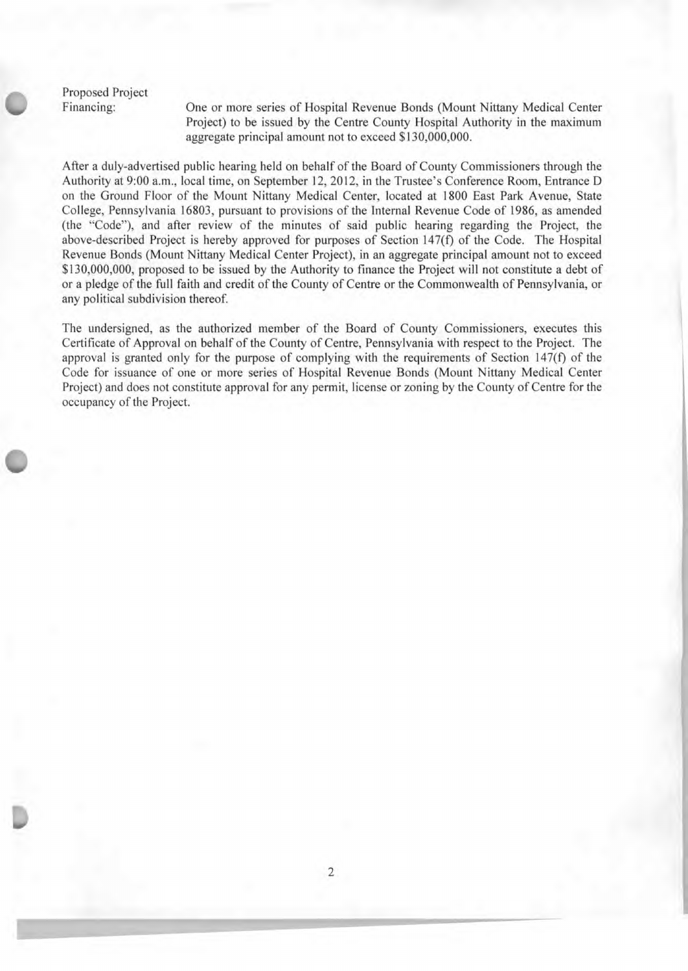Proposed Project

Li

Financing: One or more series of Hospital Revenue Bonds (Mount Nittany Medical Center Project) to be issued by the Centre County Hospital Authority in the maximum aggregate principal amount not to exceed \$130,000,000.

After a duly-advertised public hearing held on behalf of the Board of County Commissioners through the Authority at 9:00 a.m., local time, on September 12, 2012, in the Trustee's Conference Room, Entrance D on the Ground Floor of the Mount Nittany Medical Center, located at 1800 East Park Avenue, State College, Pennsylvania 16803, pursuant to provisions of the Internal Revenue Code of 1986, as amended (the "Code"), and after review of the minutes of said public hearing regarding the Project, the above-described Project is hereby approved for purposes of Section 147(f) of the Code. The Hospital Revenue Bonds (Mount Nittany Medical Center Project), in an aggregate principal amount not to exceed \$130,000,000, proposed to be issued by the Authority to finance the Project will not constitute a debt of or a pledge of the full faith and credit of the County of Centre or the Commonwealth of Pennsylvania, or any political subdivision thereof.

The undersigned, as the authorized member of the Board of County Commissioners, executes this Certificate of Approval on behalf of the County of Centre, Pennsylvania with respect to the Project. The approval is granted only for the purpose of complying with the requirements of Section 147(f) of the Code for issuance of one or more series of Hospital Revenue Bonds (Mount Nittany Medical Center Project) and does not constitute approval for any permit, license or zoning by the County of Centre for the occupancy of the Project.